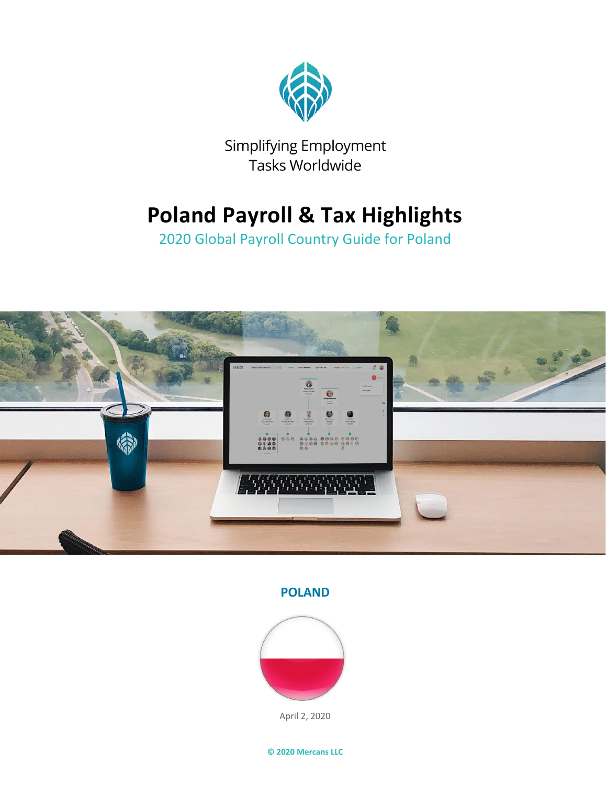

Simplifying Employment Tasks Worldwide

## **Poland Payroll & Tax Highlights**

2020 Global Payroll Country Guide for Poland



**POLAND**



April 2, 2020

**© 2020 Mercans LLC**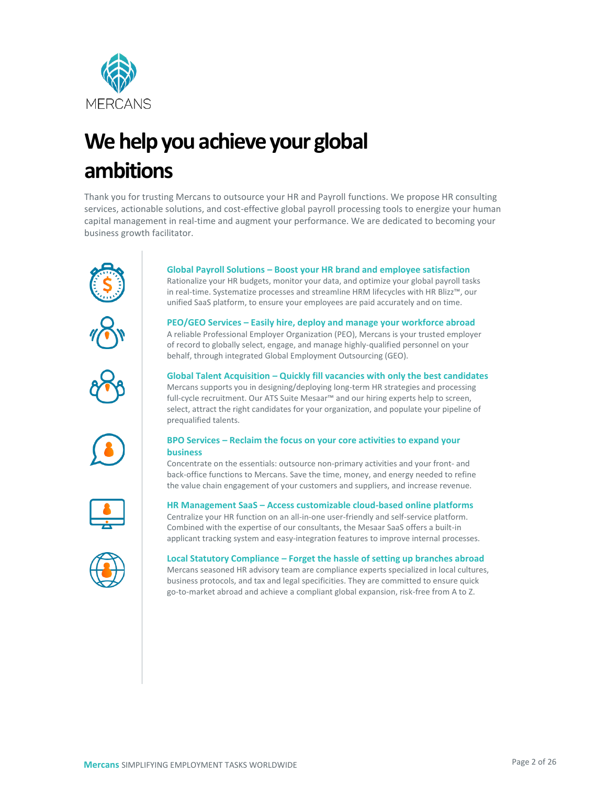

# **We help you achieve your global ambitions**

Thank you for trusting Mercans to outsource your HR and Payroll functions. We propose HR consulting services, actionable solutions, and cost-effective global payroll processing tools to energize your human capital management in real-time and augment your performance. We are dedicated to becoming your business growth facilitator.





unified SaaS platform, to ensure your employees are paid accurately and on time.



**PEO/GEO Services – Easily hire, deploy and manage your workforce abroad**

A reliable Professional Employer Organization (PEO), Mercans is your trusted employer of record to globally select, engage, and manage highly-qualified personnel on your behalf, through integrated Global Employment Outsourcing (GEO).



#### **Global Talent Acquisition – Quickly fill vacancies with only the best candidates** Mercans supports you in designing/deploying long-term HR strategies and processing full-cycle recruitment. Our ATS Suite Mesaar™ and our hiring experts help to screen, select, attract the right candidates for your organization, and populate your pipeline of prequalified talents.



#### **BPO Services – Reclaim the focus on your core activities to expand your business**

Concentrate on the essentials: outsource non-primary activities and your front- and back-office functions to Mercans. Save the time, money, and energy needed to refine the value chain engagement of your customers and suppliers, and increase revenue.



#### **HR Management SaaS – Access customizable cloud-based online platforms**

Centralize your HR function on an all-in-one user-friendly and self-service platform. Combined with the expertise of our consultants, the Mesaar SaaS offers a built-in applicant tracking system and easy-integration features to improve internal processes.



**Local Statutory Compliance – Forget the hassle of setting up branches abroad** Mercans seasoned HR advisory team are compliance experts specialized in local cultures, business protocols, and tax and legal specificities. They are committed to ensure quick go-to-market abroad and achieve a compliant global expansion, risk-free from A to Z.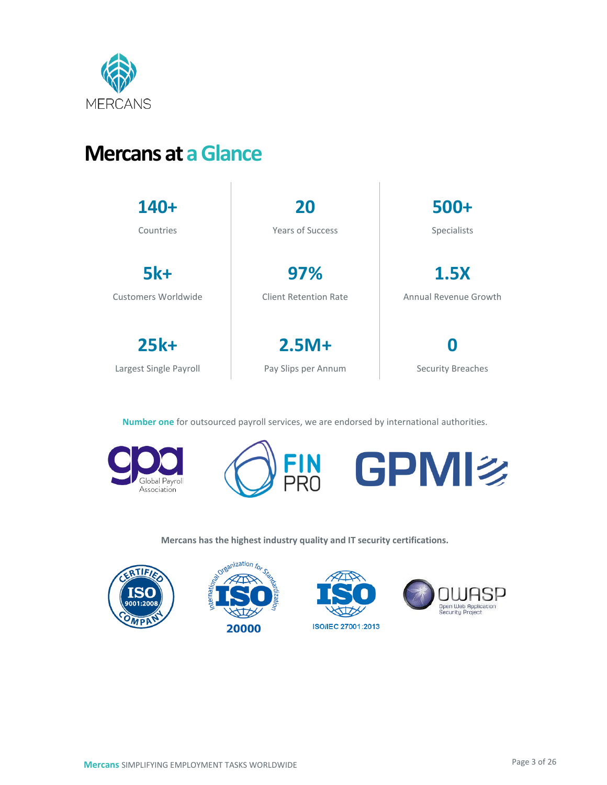

## **Mercans at a Glance**

| 140+                   | 20                      | 500+                     |
|------------------------|-------------------------|--------------------------|
| Countries              | <b>Years of Success</b> | Specialists              |
| <b>5k+</b>             | 97%                     | <b>1.5X</b>              |
| Customers Worldwide    | Client Retention Rate   | Annual Revenue Growth    |
| $25k+$                 | $2.5M +$                | 0                        |
| Largest Single Payroll | Pay Slips per Annum     | <b>Security Breaches</b> |

**Number one** for outsourced payroll services, we are endorsed by international authorities.







**Mercans has the highest industry quality and IT security certifications.**

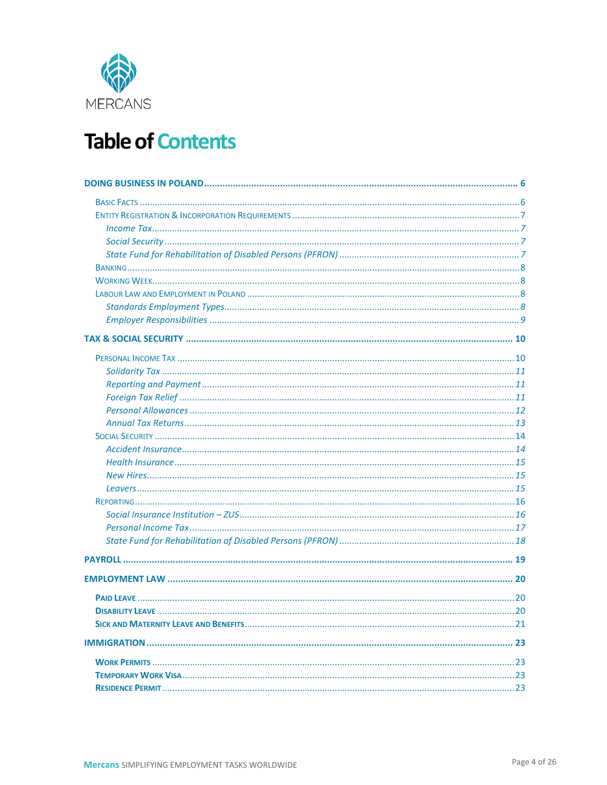

## **Table of Contents**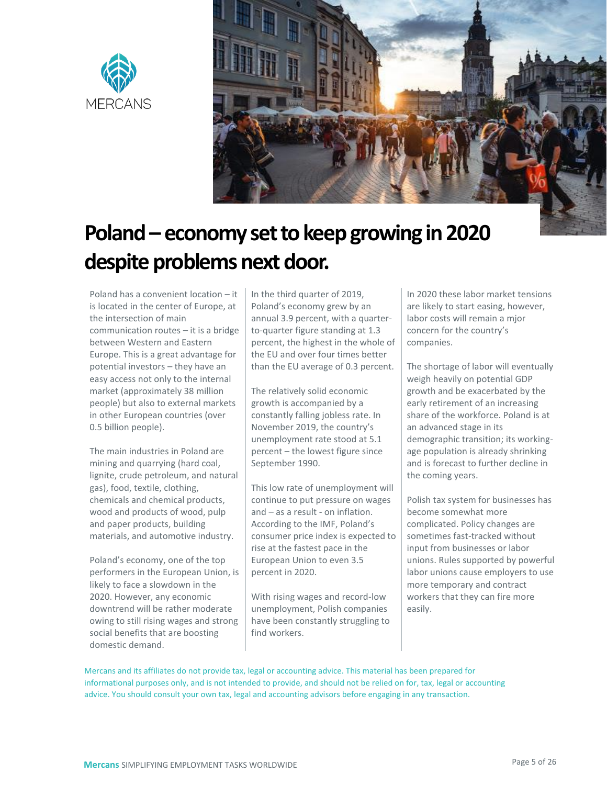



# **Poland– economy set to keep growing in 2020 despite problems next door.**

Poland has a convenient location – it is located in the center of Europe, at the intersection of main communication routes – it is a bridge between Western and Eastern Europe. This is a great advantage for potential investors – they have an easy access not only to the internal market (approximately 38 million people) but also to external markets in other European countries (over 0.5 billion people).

The main industries in Poland are mining and quarrying (hard coal, lignite, crude petroleum, and natural gas), food, textile, clothing, chemicals and chemical products, wood and products of wood, pulp and paper products, building materials, and automotive industry.

Poland's economy, one of the top performers in the European Union, is likely to face a slowdown in the 2020. However, any economic downtrend will be rather moderate owing to still rising wages and strong social benefits that are boosting domestic demand.

In the third quarter of 2019, Poland's economy grew by an annual 3.9 percent, with a quarterto-quarter figure standing at 1.3 percent, the highest in the whole of the EU and over four times better than the EU average of 0.3 percent.

The relatively solid economic growth is accompanied by a constantly falling jobless rate. In November 2019, the country's unemployment rate stood at 5.1 percent – the lowest figure since September 1990.

This low rate of unemployment will continue to put pressure on wages and – as a result - on inflation. According to the IMF, Poland's consumer price index is expected to rise at the fastest pace in the European Union to even 3.5 percent in 2020.

With rising wages and record-low unemployment, Polish companies have been constantly struggling to find workers.

In 2020 these labor market tensions are likely to start easing, however, labor costs will remain a mjor concern for the country's companies.

The shortage of labor will eventually weigh heavily on potential GDP growth and be exacerbated by the early retirement of an increasing share of the workforce. Poland is at an advanced stage in its demographic transition; its workingage population is already shrinking and is forecast to further decline in the coming years.

Polish tax system for businesses has become somewhat more complicated. Policy changes are sometimes fast-tracked without input from businesses or labor unions. Rules supported by powerful labor unions cause employers to use more temporary and contract workers that they can fire more easily.

Mercans and its affiliates do not provide tax, legal or accounting advice. This material has been prepared for informational purposes only, and is not intended to provide, and should not be relied on for, tax, legal or accounting advice. You should consult your own tax, legal and accounting advisors before engaging in any transaction.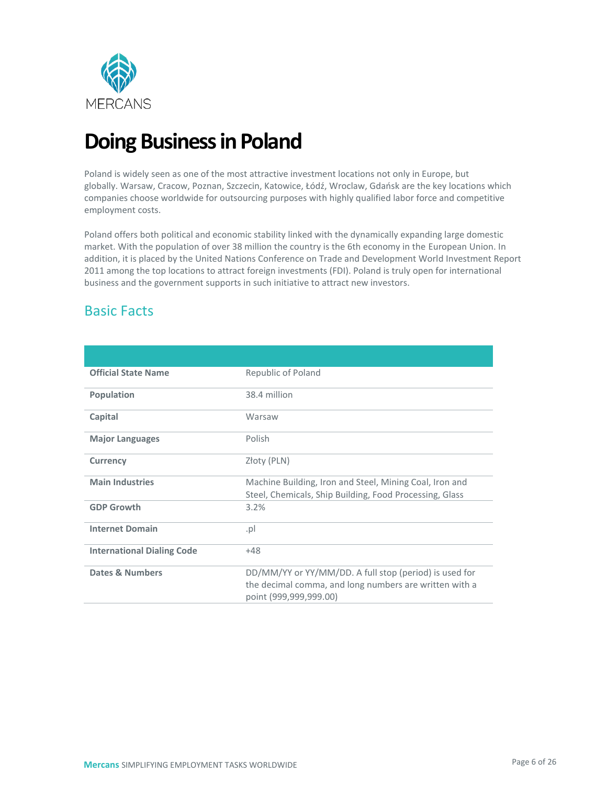

## <span id="page-5-0"></span>**Doing Business in Poland**

Poland is widely seen as one of the most attractive investment locations not only in Europe, but globally. Warsaw, Cracow, Poznan, Szczecin, Katowice, Łódź, Wroclaw, Gdańsk are the key locations which companies choose worldwide for outsourcing purposes with highly qualified labor force and competitive employment costs.

Poland offers both political and economic stability linked with the dynamically expanding large domestic market. With the population of over 38 million the country is the 6th economy in the European Union. In addition, it is placed by the [United Nations Conference on Trade and Development World Investment Report](http://unctad.org/en/docs/wir2011_embargoed_en.pdf)  [2011](http://unctad.org/en/docs/wir2011_embargoed_en.pdf) among the top locations to attract foreign investments (FDI). Poland is truly open for international business and the [government](https://www.premier.gov.pl/en.html) supports in such initiative to attract new investors.

## <span id="page-5-1"></span>Basic Facts

| <b>Official State Name</b>        | Republic of Poland                                                                                                                         |
|-----------------------------------|--------------------------------------------------------------------------------------------------------------------------------------------|
| Population                        | 38.4 million                                                                                                                               |
| Capital                           | Warsaw                                                                                                                                     |
| <b>Major Languages</b>            | Polish                                                                                                                                     |
| <b>Currency</b>                   | Złoty (PLN)                                                                                                                                |
| <b>Main Industries</b>            | Machine Building, Iron and Steel, Mining Coal, Iron and<br>Steel, Chemicals, Ship Building, Food Processing, Glass                         |
| <b>GDP Growth</b>                 | 3.2%                                                                                                                                       |
| <b>Internet Domain</b>            | .pl                                                                                                                                        |
| <b>International Dialing Code</b> | $+48$                                                                                                                                      |
| Dates & Numbers                   | DD/MM/YY or YY/MM/DD. A full stop (period) is used for<br>the decimal comma, and long numbers are written with a<br>point (999,999,999.00) |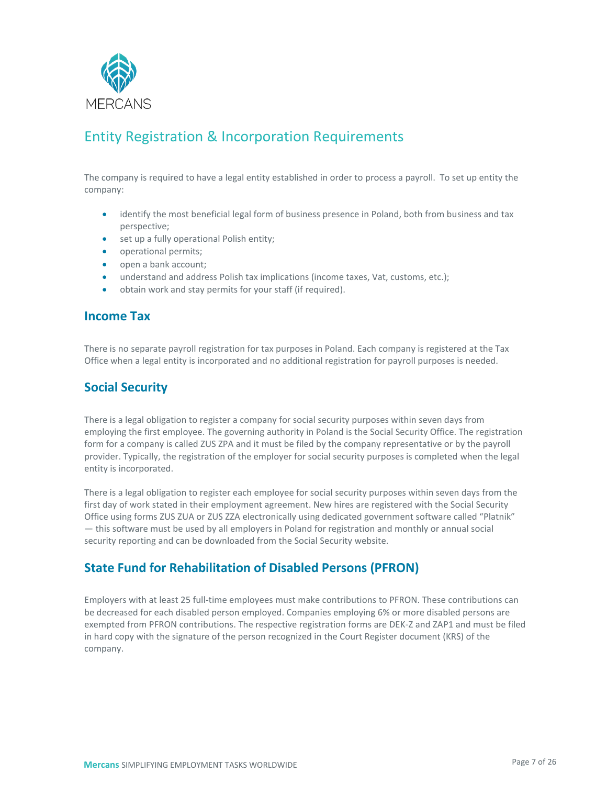

## <span id="page-6-0"></span>Entity Registration & Incorporation Requirements

The company is required to have a legal entity established in order to process a payroll. To set up entity the company:

- identify the most beneficial legal form of business presence in Poland, both from business and tax perspective;
- set up a fully operational Polish entity;
- operational permits;
- open a bank account;
- understand and address Polish tax implications (income taxes, Vat, customs, etc.);
- obtain work and stay permits for your staff (if required).

#### <span id="page-6-1"></span>**Income Tax**

There is no separate payroll registration for tax purposes in Poland. Each company is registered at the Tax Office when a legal entity is incorporated and no additional registration for payroll purposes is needed.

#### <span id="page-6-2"></span>**Social Security**

There is a legal obligation to register a company for social security purposes within seven days from employing the first employee. The governing authority in Poland is the Social Security Office. The registration form for a company is called ZUS ZPA and it must be filed by the company representative or by the payroll provider. Typically, the registration of the employer for social security purposes is completed when the legal entity is incorporated.

There is a legal obligation to register each employee for social security purposes within seven days from the first day of work stated in their employment agreement. New hires are registered with the Social Security Office using forms ZUS ZUA or ZUS ZZA electronically using dedicated government software called "Platnik" — this software must be used by all employers in Poland for registration and monthly or annual social security reporting and can be downloaded from the Social Security website.

#### <span id="page-6-3"></span>**State Fund for Rehabilitation of Disabled Persons (PFRON)**

Employers with at least 25 full-time employees must make contributions to PFRON. These contributions can be decreased for each disabled person employed. Companies employing 6% or more disabled persons are exempted from PFRON contributions. The respective registration forms are DEK-Z and ZAP1 and must be filed in hard copy with the signature of the person recognized in the Court Register document (KRS) of the company.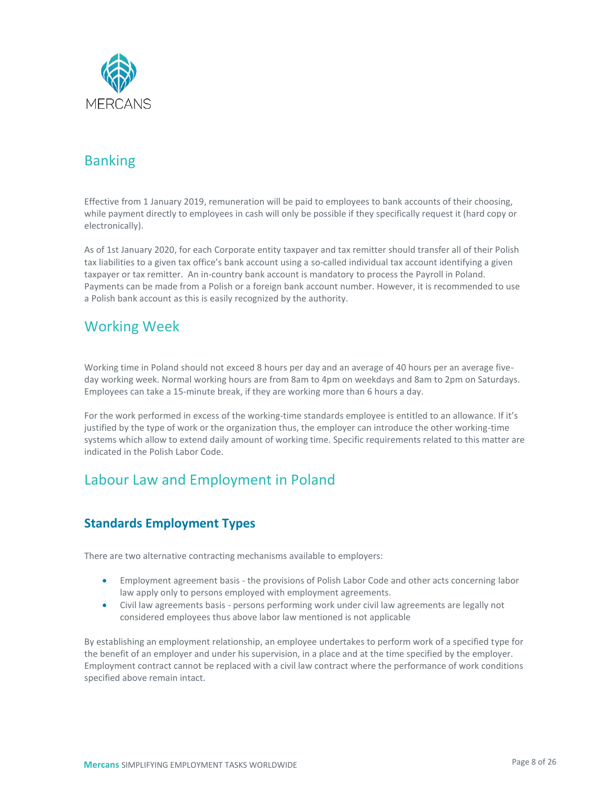

## <span id="page-7-0"></span>Banking

Effective from 1 January 2019, remuneration will be paid to employees to bank accounts of their choosing, while payment directly to employees in cash will only be possible if they specifically request it (hard copy or electronically).

As of 1st January 2020, for each Corporate entity taxpayer and tax remitter should transfer all of their Polish tax liabilities to a given tax office's bank account using a so-called individual tax account identifying a given taxpayer or tax remitter. An in-country bank account is mandatory to process the Payroll in Poland. Payments can be made from a Polish or a foreign bank account number. However, it is recommended to use a Polish bank account as this is easily recognized by the authority.

## <span id="page-7-1"></span>Working Week

Working time in Poland should not exceed 8 hours per day and an average of 40 hours per an average fiveday working week. Normal working hours are from 8am to 4pm on weekdays and 8am to 2pm on Saturdays. Employees can take a 15-minute break, if they are working more than 6 hours a day.

For the work performed in excess of the working-time standards employee is entitled to an allowance. If it's justified by the type of work or the organization thus, the employer can introduce the other working-time systems which allow to extend daily amount of working time. Specific requirements related to this matter are indicated in the Polish Labor Code.

## <span id="page-7-2"></span>Labour Law and Employment in Poland

#### <span id="page-7-3"></span>**Standards Employment Types**

There are two alternative contracting mechanisms available to employers:

- Employment agreement basis the provisions of Polish Labor Code and other acts concerning [labor](https://accace.com/outsourcing/payroll-and-hr/labour-law-consultancy/)  [law](https://accace.com/outsourcing/payroll-and-hr/labour-law-consultancy/) apply only to persons employed with employment agreements.
- Civil law agreements basis persons performing work under civil law agreements are legally not considered employees thus above labor law mentioned is not applicable

By establishing an employment relationship, an employee undertakes to perform work of a specified type for the benefit of an employer and under his supervision, in a place and at the time specified by the employer. Employment contract cannot be replaced with a civil law contract where the performance of work conditions specified above remain intact.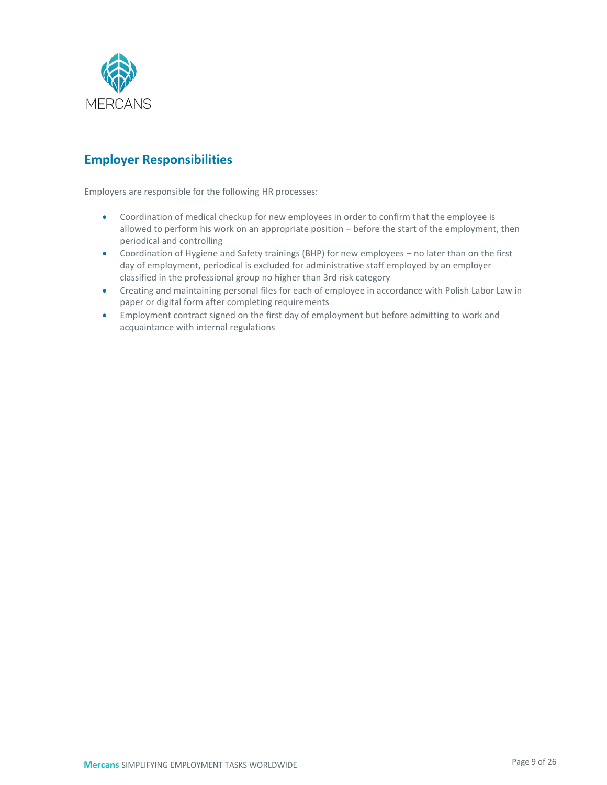

### <span id="page-8-0"></span>**Employer Responsibilities**

Employers are responsible for the following HR processes:

- Coordination of medical checkup for new employees in order to confirm that the employee is allowed to perform his work on an appropriate position – before the start of the employment, then periodical and controlling
- Coordination of Hygiene and Safety trainings (BHP) for new employees no later than on the first day of employment, periodical is excluded for administrative staff employed by an employer classified in the professional group no higher than 3rd risk category
- Creating and maintaining personal files for each of employee in accordance with Polish Labor Law in paper or digital form after completing requirements
- Employment contract signed on the first day of employment but before admitting to work and acquaintance with internal regulations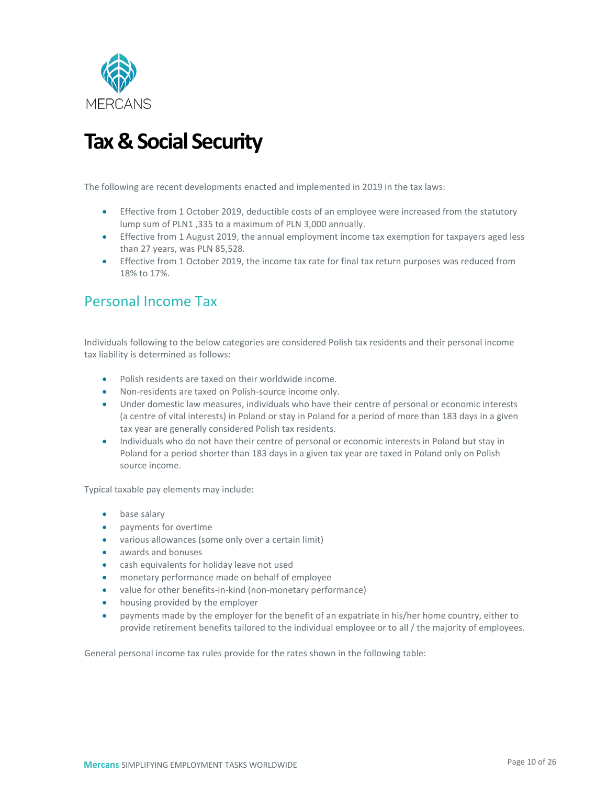

## <span id="page-9-0"></span>**Tax & Social Security**

The following are recent developments enacted and implemented in 2019 in the tax laws:

- Effective from 1 October 2019, deductible costs of an employee were increased from the statutory lump sum of PLN1 ,335 to a maximum of PLN 3,000 annually.
- Effective from 1 August 2019, the annual employment income tax exemption for taxpayers aged less than 27 years, was PLN 85,528.
- Effective from 1 October 2019, the income tax rate for final tax return purposes was reduced from 18% to 17%.

## <span id="page-9-1"></span>Personal Income Tax

Individuals following to the below categories are considered Polish tax residents and their personal income tax liability is determined as follows:

- Polish residents are taxed on their worldwide income.
- Non-residents are taxed on Polish-source income only.
- Under domestic law measures, individuals who have their centre of personal or economic interests (a centre of vital interests) in Poland or stay in Poland for a period of more than 183 days in a given tax year are generally considered Polish tax residents.
- Individuals who do not have their centre of personal or economic interests in Poland but stay in Poland for a period shorter than 183 days in a given tax year are taxed in Poland only on Polish source income.

Typical taxable pay elements may include:

- base salary
- payments for overtime
- various allowances (some only over a certain limit)
- awards and bonuses
- cash equivalents for holiday leave not used
- monetary performance made on behalf of employee
- value for other benefits-in-kind (non-monetary performance)
- housing provided by the employer
- payments made by the employer for the benefit of an expatriate in his/her home country, either to provide retirement benefits tailored to the individual employee or to all / the majority of employees.

General personal income tax rules provide for the rates shown in the following table: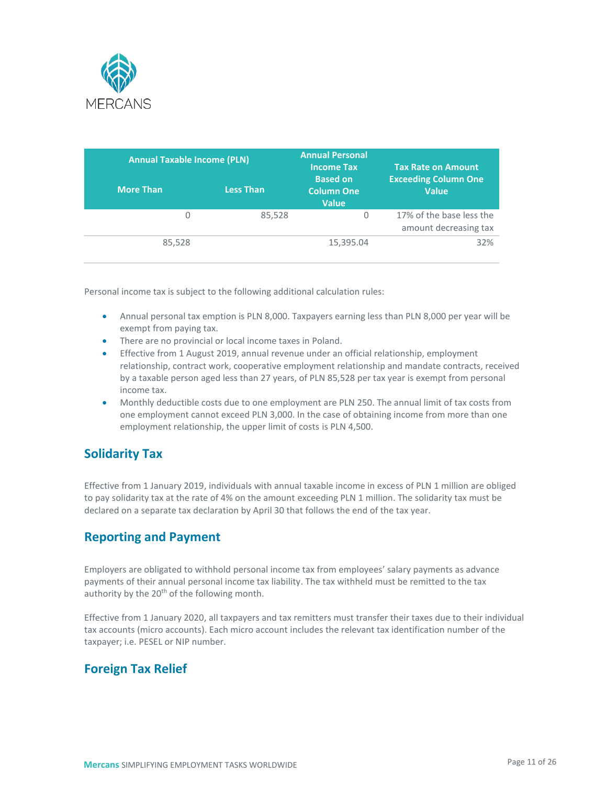

| <b>Annual Taxable Income (PLN)</b> |                  | <b>Annual Personal</b><br><b>Income Tax</b>          | <b>Tax Rate on Amount</b>                         |
|------------------------------------|------------------|------------------------------------------------------|---------------------------------------------------|
| <b>More Than</b>                   | <b>Less Than</b> | <b>Based on</b><br><b>Column One</b><br><b>Value</b> | <b>Exceeding Column One</b><br><b>Value</b>       |
| 0                                  | 85,528           | 0                                                    | 17% of the base less the<br>amount decreasing tax |
| 85,528                             |                  | 15,395.04                                            | 32%                                               |

Personal income tax is subject to the following additional calculation rules:

- Annual personal tax emption is PLN 8,000. Taxpayers earning less than PLN 8,000 per year will be exempt from paying tax.
- There are no provincial or local income taxes in Poland.
- Effective from 1 August 2019, annual revenue under an official relationship, employment relationship, contract work, cooperative employment relationship and mandate contracts, received by a taxable person aged less than 27 years, of PLN 85,528 per tax year is exempt from personal income tax.
- Monthly deductible costs due to one employment are PLN 250. The annual limit of tax costs from one employment cannot exceed PLN 3,000. In the case of obtaining income from more than one employment relationship, the upper limit of costs is PLN 4,500.

#### <span id="page-10-0"></span>**Solidarity Tax**

Effective from 1 January 2019, individuals with annual taxable income in excess of PLN 1 million are obliged to pay solidarity tax at the rate of 4% on the amount exceeding PLN 1 million. The solidarity tax must be declared on a separate tax declaration by April 30 that follows the end of the tax year.

#### <span id="page-10-1"></span>**Reporting and Payment**

Employers are obligated to withhold personal income tax from employees' salary payments as advance payments of their annual personal income tax liability. The tax withheld must be remitted to the tax authority by the 20<sup>th</sup> of the following month.

Effective from 1 January 2020, all taxpayers and tax remitters must transfer their taxes due to their individual tax accounts (micro accounts). Each micro account includes the relevant tax identification number of the taxpayer; i.e. PESEL or NIP number.

#### <span id="page-10-2"></span>**Foreign Tax Relief**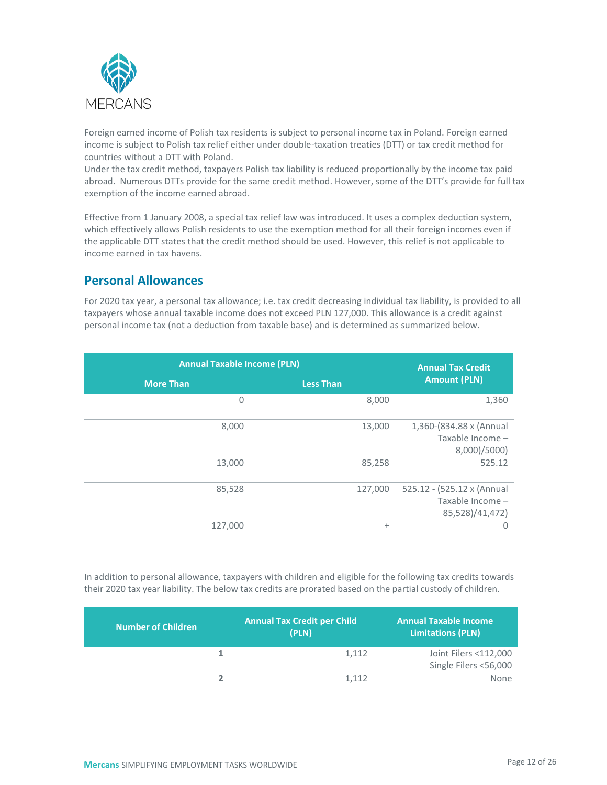

Foreign earned income of Polish tax residents is subject to personal income tax in Poland. Foreign earned income is subject to Polish tax relief either under double-taxation treaties (DTT) or tax credit method for countries without a DTT with Poland.

Under the tax credit method, taxpayers Polish tax liability is reduced proportionally by the income tax paid abroad. Numerous DTTs provide for the same credit method. However, some of the DTT's provide for full tax exemption of the income earned abroad.

Effective from 1 January 2008, a special tax relief law was introduced. It uses a complex deduction system, which effectively allows Polish residents to use the exemption method for all their foreign incomes even if the applicable DTT states that the credit method should be used. However, this relief is not applicable to income earned in tax havens.

#### <span id="page-11-0"></span>**Personal Allowances**

For 2020 tax year, a personal tax allowance; i.e. tax credit decreasing individual tax liability, is provided to all taxpayers whose annual taxable income does not exceed PLN 127,000. This allowance is a credit against personal income tax (not a deduction from taxable base) and is determined as summarized below.

| <b>Annual Taxable Income (PLN)</b> | <b>Annual Tax Credit</b> |                                                                   |
|------------------------------------|--------------------------|-------------------------------------------------------------------|
| <b>More Than</b>                   | <b>Less Than</b>         | <b>Amount (PLN)</b>                                               |
| $\Omega$                           | 8,000                    | 1,360                                                             |
| 8,000                              | 13,000                   | 1,360-(834.88 x (Annual<br>Taxable Income -<br>8,000)/5000)       |
| 13,000                             | 85,258                   | 525.12                                                            |
| 85,528                             | 127,000                  | 525.12 - (525.12 x (Annual<br>Taxable Income -<br>85,528)/41,472) |
| 127,000                            | $\ddot{}$                | $\Omega$                                                          |

In addition to personal allowance, taxpayers with children and eligible for the following tax credits towards their 2020 tax year liability. The below tax credits are prorated based on the partial custody of children.

| <b>Number of Children</b> | <b>Annual Tax Credit per Child</b><br>(PLN) | <b>Annual Taxable Income</b><br><b>Limitations (PLN)</b> |
|---------------------------|---------------------------------------------|----------------------------------------------------------|
|                           | 1.112                                       | Joint Filers <112,000                                    |
|                           |                                             | Single Filers <56,000                                    |
|                           | 1,112                                       | None                                                     |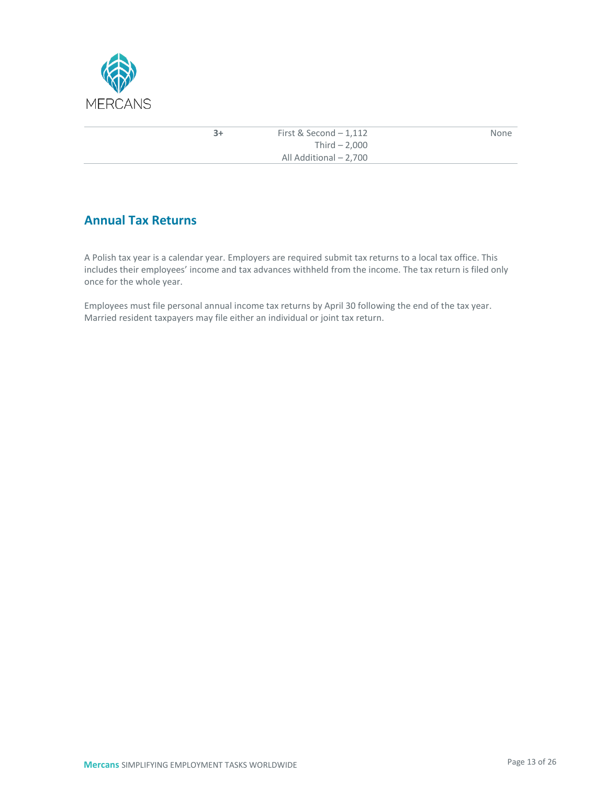

| $3+$ | First & Second $-1,112$ | None |
|------|-------------------------|------|
|      | Third $-2.000$          |      |
|      | All Additional - 2,700  |      |

### <span id="page-12-0"></span>**Annual Tax Returns**

A Polish tax year is a calendar year. Employers are required submit tax returns to a local tax office. This includes their employees' income and tax advances withheld from the income. The tax return is filed only once for the whole year.

Employees must file personal annual income tax returns by April 30 following the end of the tax year. Married resident taxpayers may file either an individual or joint tax return.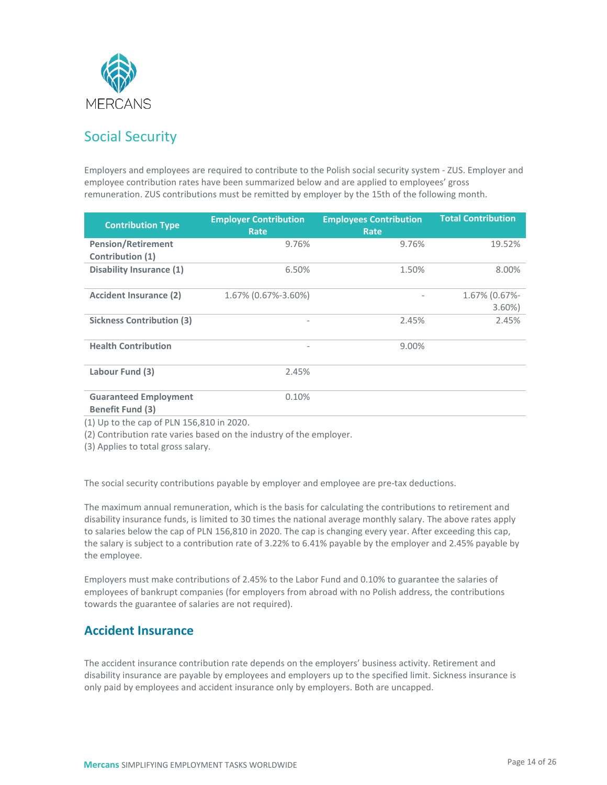

## <span id="page-13-0"></span>Social Security

Employers and employees are required to contribute to the Polish social security system - ZUS. Employer and employee contribution rates have been summarized below and are applied to employees' gross remuneration. ZUS contributions must be remitted by employer by the 15th of the following month.

| <b>Contribution Type</b>                                | <b>Employer Contribution</b><br><b>Rate</b> | <b>Employees Contribution</b><br>Rate | <b>Total Contribution</b> |
|---------------------------------------------------------|---------------------------------------------|---------------------------------------|---------------------------|
| <b>Pension/Retirement</b><br>Contribution (1)           | 9.76%                                       | 9.76%                                 | 19.52%                    |
| <b>Disability Insurance (1)</b>                         | 6.50%                                       | 1.50%                                 | 8.00%                     |
| <b>Accident Insurance (2)</b>                           | 1.67% (0.67%-3.60%)                         |                                       | 1.67% (0.67%-<br>$3.60\%$ |
| <b>Sickness Contribution (3)</b>                        |                                             | 2.45%                                 | 2.45%                     |
| <b>Health Contribution</b>                              |                                             | 9.00%                                 |                           |
| Labour Fund (3)                                         | 2.45%                                       |                                       |                           |
| <b>Guaranteed Employment</b><br><b>Benefit Fund (3)</b> | 0.10%                                       |                                       |                           |

(1) Up to the cap of PLN 156,810 in 2020.

(2) Contribution rate varies based on the industry of the employer.

(3) Applies to total gross salary.

The social security contributions payable by employer and employee are pre-tax deductions.

The maximum annual remuneration, which is the basis for calculating the contributions to retirement and disability insurance funds, is limited to 30 times the national average monthly salary. The above rates apply to salaries below the cap of PLN 156,810 in 2020. The cap is changing every year. After exceeding this cap, the salary is subject to a contribution rate of 3.22% to 6.41% payable by the employer and 2.45% payable by the employee.

Employers must make contributions of 2.45% to the Labor Fund and 0.10% to guarantee the salaries of employees of bankrupt companies (for employers from abroad with no Polish address, the contributions towards the guarantee of salaries are not required).

#### <span id="page-13-1"></span>**Accident Insurance**

The accident insurance contribution rate depends on the employers' business activity. Retirement and disability insurance are payable by employees and employers up to the specified limit. Sickness insurance is only paid by employees and accident insurance only by employers. Both are uncapped.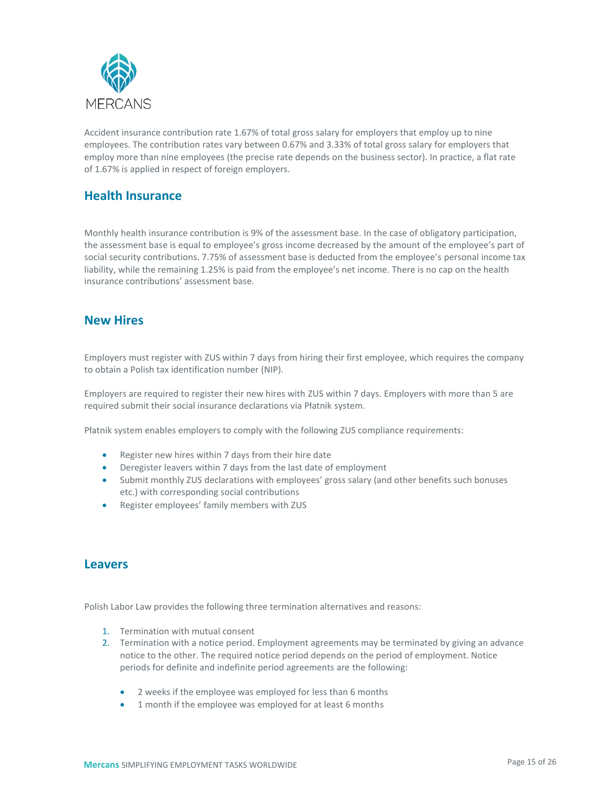

Accident insurance contribution rate 1.67% of total gross salary for employers that employ up to nine employees. The contribution rates vary between 0.67% and 3.33% of total gross salary for employers that employ more than nine employees (the precise rate depends on the business sector). In practice, a flat rate of 1.67% is applied in respect of foreign employers.

#### <span id="page-14-0"></span>**Health Insurance**

Monthly health insurance contribution is 9% of the assessment base. In the case of obligatory participation, the assessment base is equal to employee's gross income decreased by the amount of the employee's part of social security contributions. 7.75% of assessment base is deducted from the employee's personal income tax liability, while the remaining 1.25% is paid from the employee's net income. There is no cap on the health insurance contributions' assessment base.

#### <span id="page-14-1"></span>**New Hires**

Employers must register with ZUS within 7 days from hiring their first employee, which requires the company to obtain a Polish tax identification number (NIP).

Employers are required to register their new hires with ZUS within 7 days. Employers with more than 5 are required submit their social insurance declarations via Płatnik system.

Płatnik system enables employers to comply with the following ZUS compliance requirements:

- Register new hires within 7 days from their hire date
- Deregister leavers within 7 days from the last date of employment
- Submit monthly ZUS declarations with employees' gross salary (and other benefits such bonuses etc.) with corresponding social contributions
- Register employees' family members with ZUS

#### <span id="page-14-2"></span>**Leavers**

Polish Labor Law provides the following three termination alternatives and reasons:

- 1. Termination with mutual consent
- 2. Termination with a notice period. Employment agreements may be terminated by giving an advance notice to the other. The required notice period depends on the period of employment. Notice periods for definite and indefinite period agreements are the following:
	- 2 weeks if the employee was employed for less than 6 months
	- 1 month if the employee was employed for at least 6 months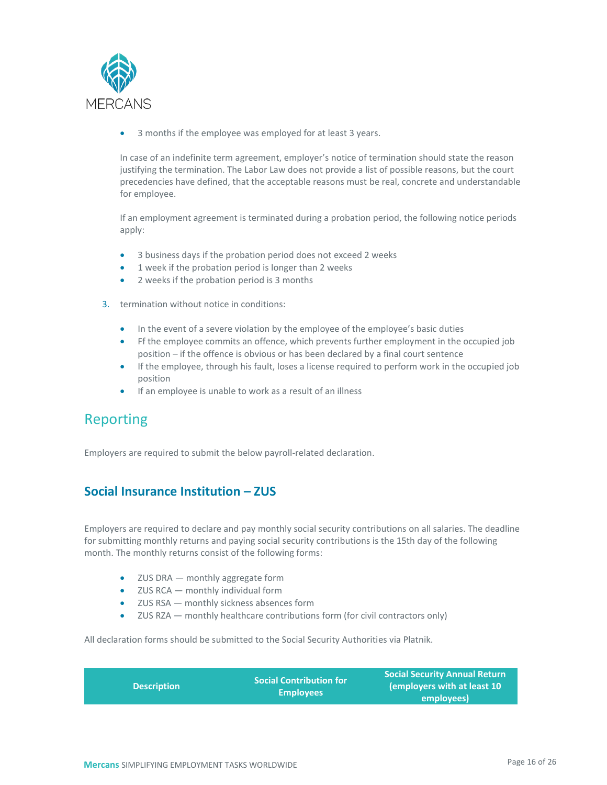

3 months if the employee was employed for at least 3 years.

In case of an indefinite term agreement, employer's notice of termination should state the reason justifying the termination. The Labor Law does not provide a list of possible reasons, but the court precedencies have defined, that the acceptable reasons must be real, concrete and understandable for employee.

If an employment agreement is terminated during a probation period, the following notice periods apply:

- 3 business days if the probation period does not exceed 2 weeks
- 1 week if the probation period is longer than 2 weeks
- 2 weeks if the probation period is 3 months
- 3. termination without notice in conditions:
	- In the event of a severe violation by the employee of the employee's basic duties
	- Ff the employee commits an offence, which prevents further employment in the occupied job position – if the offence is obvious or has been declared by a final court sentence
	- If the employee, through his fault, loses a license required to perform work in the occupied job position
	- If an employee is unable to work as a result of an illness

## <span id="page-15-0"></span>Reporting

Employers are required to submit the below payroll-related declaration.

#### <span id="page-15-1"></span>**Social Insurance Institution – ZUS**

Employers are required to declare and pay monthly social security contributions on all salaries. The deadline for submitting monthly returns and paying social security contributions is the 15th day of the following month. The monthly returns consist of the following forms:

- ZUS DRA monthly aggregate form
- ZUS RCA monthly individual form
- ZUS RSA monthly sickness absences form
- ZUS RZA monthly healthcare contributions form (for civil contractors only)

All declaration forms should be submitted to the Social Security Authorities via Platnik.

| <b>Description</b> | Social Contribution for<br><b>Employees</b> | <b>Social Security Annual Return</b><br>employers with at least 10<br>employees) |
|--------------------|---------------------------------------------|----------------------------------------------------------------------------------|
|--------------------|---------------------------------------------|----------------------------------------------------------------------------------|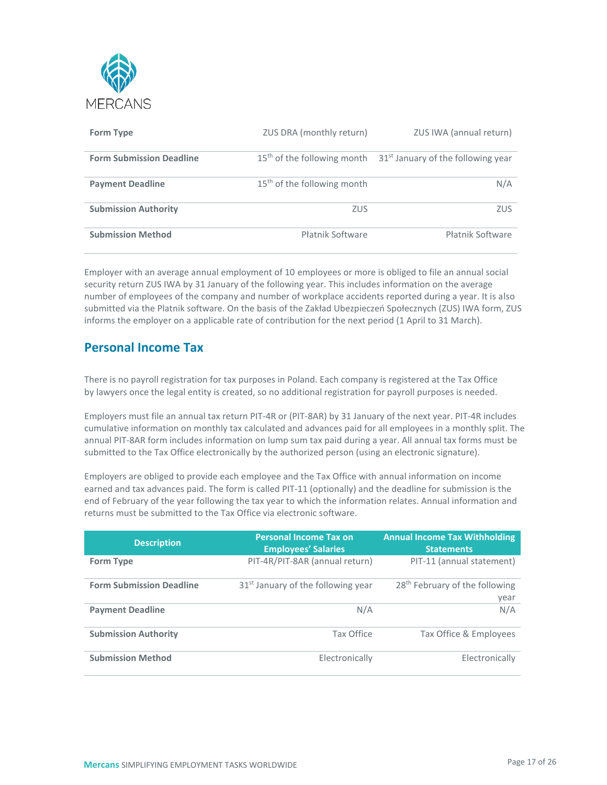

| <b>Form Type</b>                | ZUS DRA (monthly return)                | ZUS IWA (annual return)                        |
|---------------------------------|-----------------------------------------|------------------------------------------------|
| <b>Form Submission Deadline</b> | 15 <sup>th</sup> of the following month | 31 <sup>st</sup> January of the following year |
| <b>Payment Deadline</b>         | $15th$ of the following month           | N/A                                            |
| <b>Submission Authority</b>     | <b>ZUS</b>                              | <b>ZUS</b>                                     |
| <b>Submission Method</b>        | <b>Płatnik Software</b>                 | Płatnik Software                               |

Employer with an average annual employment of 10 employees or more is obliged to file an annual social security return ZUS IWA by 31 January of the following year. This includes information on the average number of employees of the company and number of workplace accidents reported during a year. It is also submitted via the Platnik software. On the basis of the Zakład Ubezpieczeń Społecznych (ZUS) IWA form, ZUS informs the employer on a applicable rate of contribution for the next period (1 April to 31 March).

#### <span id="page-16-0"></span>**Personal Income Tax**

There is no payroll registration for tax purposes in Poland. Each company is registered at the Tax Office by lawyers once the legal entity is created, so no additional registration for payroll purposes is needed.

Employers must file an annual tax return PIT-4R or (PIT-8AR) by 31 January of the next year. PIT-4R includes cumulative information on monthly tax calculated and advances paid for all employees in a monthly split. The annual PIT-8AR form includes information on lump sum tax paid during a year. All annual tax forms must be submitted to the Tax Office electronically by the authorized person (using an electronic signature).

Employers are obliged to provide each employee and the Tax Office with annual information on income earned and tax advances paid. The form is called PIT-11 (optionally) and the deadline for submission is the end of February of the year following the tax year to which the information relates. Annual information and returns must be submitted to the Tax Office via electronic software.

| <b>Description</b>              | <b>Personal Income Tax on</b><br><b>Employees' Salaries</b> | <b>Annual Income Tax Withholding</b><br><b>Statements</b> |
|---------------------------------|-------------------------------------------------------------|-----------------------------------------------------------|
| <b>Form Type</b>                | PIT-4R/PIT-8AR (annual return)                              | PIT-11 (annual statement)                                 |
| <b>Form Submission Deadline</b> | 31 <sup>st</sup> January of the following year              | 28 <sup>th</sup> February of the following<br>year        |
| <b>Payment Deadline</b>         | N/A                                                         | N/A                                                       |
| <b>Submission Authority</b>     | Tax Office                                                  | Tax Office & Employees                                    |
| <b>Submission Method</b>        | Electronically                                              | Electronically                                            |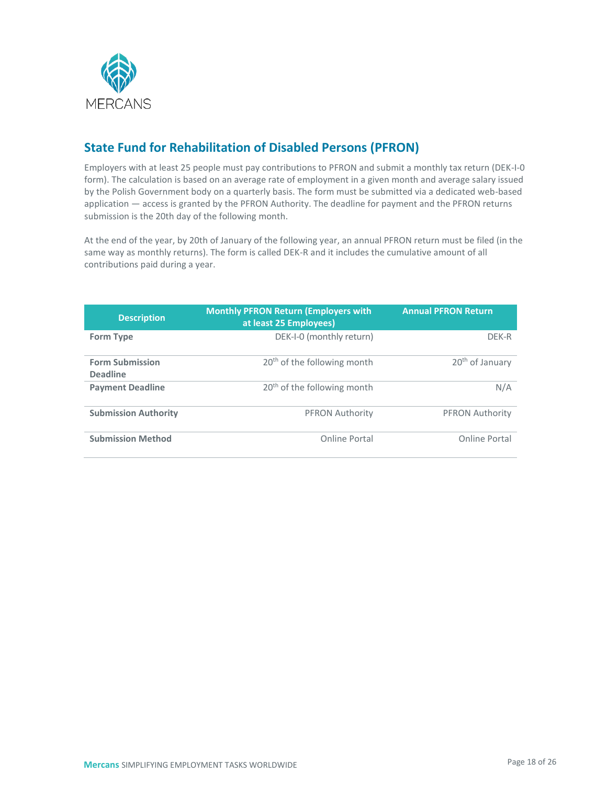

### <span id="page-17-0"></span>**State Fund for Rehabilitation of Disabled Persons (PFRON)**

Employers with at least 25 people must pay contributions to PFRON and submit a monthly tax return (DEK-I-0 form). The calculation is based on an average rate of employment in a given month and average salary issued by the Polish Government body on a quarterly basis. The form must be submitted via a dedicated web-based application — access is granted by the PFRON Authority. The deadline for payment and the PFRON returns submission is the 20th day of the following month.

At the end of the year, by 20th of January of the following year, an annual PFRON return must be filed (in the same way as monthly returns). The form is called DEK-R and it includes the cumulative amount of all contributions paid during a year.

| <b>Description</b>                        | <b>Monthly PFRON Return (Employers with</b><br>at least 25 Employees) | <b>Annual PFRON Return</b>  |
|-------------------------------------------|-----------------------------------------------------------------------|-----------------------------|
| <b>Form Type</b>                          | DEK-I-0 (monthly return)                                              | DFK-R                       |
| <b>Form Submission</b><br><b>Deadline</b> | 20 <sup>th</sup> of the following month                               | 20 <sup>th</sup> of January |
| <b>Payment Deadline</b>                   | 20 <sup>th</sup> of the following month                               | N/A                         |
| <b>Submission Authority</b>               | <b>PFRON Authority</b>                                                | <b>PFRON Authority</b>      |
| <b>Submission Method</b>                  | Online Portal                                                         | Online Portal               |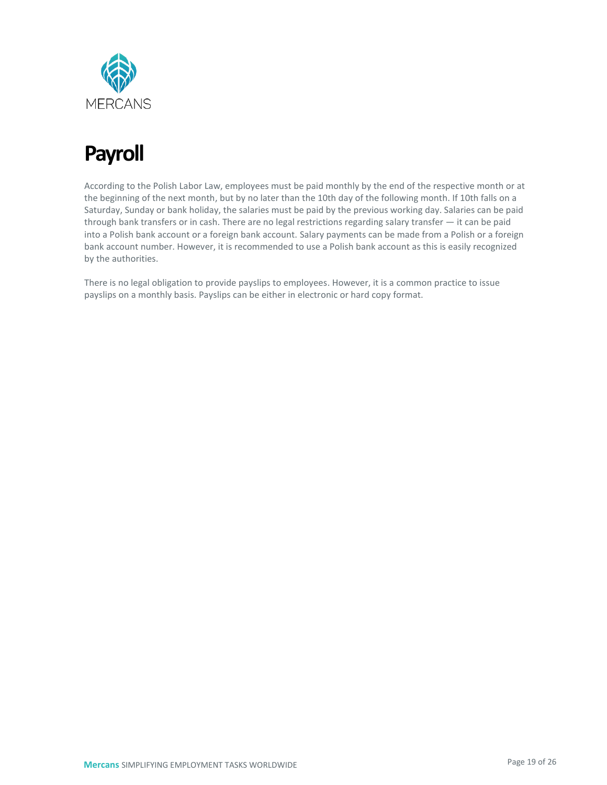

## <span id="page-18-0"></span>**Payroll**

According to the Polish Labor Law, employees must be paid monthly by the end of the respective month or at the beginning of the next month, but by no later than the 10th day of the following month. If 10th falls on a Saturday, Sunday or bank holiday, the salaries must be paid by the previous working day. Salaries can be paid through bank transfers or in cash. There are no legal restrictions regarding salary transfer — it can be paid into a Polish bank account or a foreign bank account. Salary payments can be made from a Polish or a foreign bank account number. However, it is recommended to use a Polish bank account as this is easily recognized by the authorities.

There is no legal obligation to provide payslips to employees. However, it is a common practice to issue payslips on a monthly basis. Payslips can be either in electronic or hard copy format.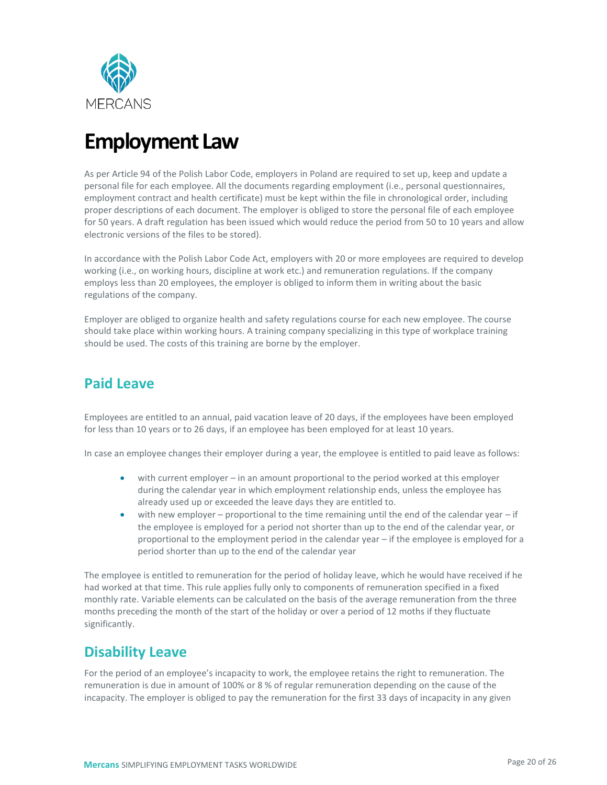

## <span id="page-19-0"></span>**Employment Law**

As per Article 94 of the Polish Labor Code, employers in Poland are required to set up, keep and update a personal file for each employee. All the documents regarding employment (i.e., personal questionnaires, employment contract and health certificate) must be kept within the file in chronological order, including proper descriptions of each document. The employer is obliged to store the personal file of each employee for 50 years. A draft regulation has been issued which would reduce the period from 50 to 10 years and allow electronic versions of the files to be stored).

In accordance with the Polish Labor Code Act, employers with 20 or more employees are required to develop working (i.e., on working hours, discipline at work etc.) and remuneration regulations. If the company employs less than 20 employees, the employer is obliged to inform them in writing about the basic regulations of the company.

Employer are obliged to organize health and safety regulations course for each new employee. The course should take place within working hours. A training company specializing in this type of workplace training should be used. The costs of this training are borne by the employer.

### <span id="page-19-1"></span>**Paid Leave**

Employees are entitled to an annual, paid vacation leave of 20 days, if the employees have been employed for less than 10 years or to 26 days, if an employee has been employed for at least 10 years.

In case an employee changes their employer during a year, the employee is entitled to paid leave as follows:

- with current employer in an amount proportional to the period worked at this employer during the calendar year in which employment relationship ends, unless the employee has already used up or exceeded the leave days they are entitled to.
- with new employer proportional to the time remaining until the end of the calendar year if the employee is employed for a period not shorter than up to the end of the calendar year, or proportional to the employment period in the calendar year – if the employee is employed for a period shorter than up to the end of the calendar year

The employee is entitled to remuneration for the period of holiday leave, which he would have received if he had worked at that time. This rule applies fully only to components of remuneration specified in a fixed monthly rate. Variable elements can be calculated on the basis of the average remuneration from the three months preceding the month of the start of the holiday or over a period of 12 moths if they fluctuate significantly.

### <span id="page-19-2"></span>**Disability Leave**

For the period of an employee's incapacity to work, the employee retains the right to remuneration. The remuneration is due in amount of 100% or 8 % of regular remuneration depending on the cause of the incapacity. The employer is obliged to pay the remuneration for the first 33 days of incapacity in any given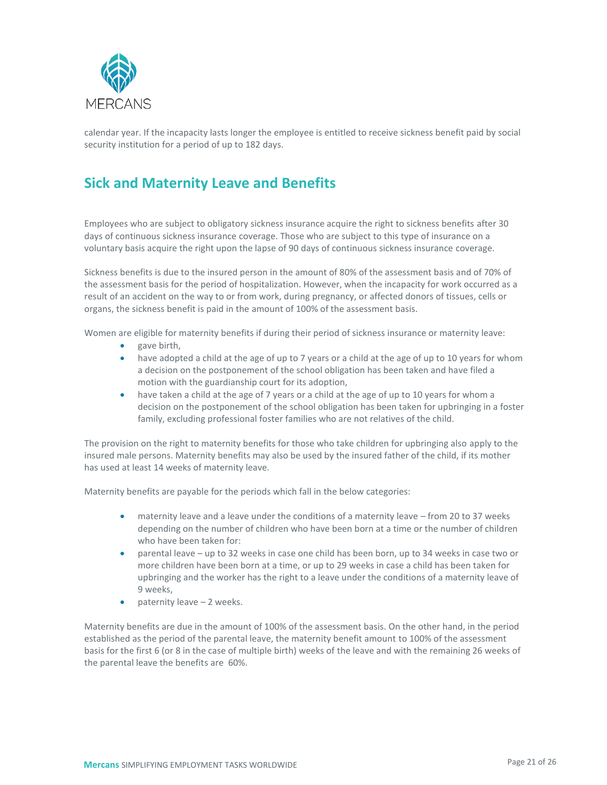

calendar year. If the incapacity lasts longer the employee is entitled to receive sickness benefit paid by social security institution for a period of up to 182 days.

## <span id="page-20-0"></span>**Sick and Maternity Leave and Benefits**

Employees who are subject to obligatory sickness insurance acquire the right to sickness benefits after 30 days of continuous sickness insurance coverage. Those who are subject to this type of insurance on a voluntary basis acquire the right upon the lapse of 90 days of continuous sickness insurance coverage.

Sickness benefits is due to the insured person in the amount of 80% of the assessment basis and of 70% of the assessment basis for the period of hospitalization. However, when the incapacity for work occurred as a result of an accident on the way to or from work, during pregnancy, or affected donors of tissues, cells or organs, the sickness benefit is paid in the amount of 100% of the assessment basis.

Women are eligible for maternity benefits if during their period of sickness insurance or maternity leave:

- gave birth,
- have adopted a child at the age of up to 7 years or a child at the age of up to 10 years for whom a decision on the postponement of the school obligation has been taken and have filed a motion with the guardianship court for its adoption,
- have taken a child at the age of 7 years or a child at the age of up to 10 years for whom a decision on the postponement of the school obligation has been taken for upbringing in a foster family, excluding professional foster families who are not relatives of the child.

The provision on the right to maternity benefits for those who take children for upbringing also apply to the insured male persons. Maternity benefits may also be used by the insured father of the child, if its mother has used at least 14 weeks of maternity leave.

Maternity benefits are payable for the periods which fall in the below categories:

- maternity leave and a leave under the conditions of a maternity leave from 20 to 37 weeks depending on the number of children who have been born at a time or the number of children who have been taken for:
- parental leave up to 32 weeks in case one child has been born, up to 34 weeks in case two or more children have been born at a time, or up to 29 weeks in case a child has been taken for upbringing and the worker has the right to a leave under the conditions of a maternity leave of 9 weeks,
- paternity leave 2 weeks.

Maternity benefits are due in the amount of 100% of the assessment basis. On the other hand, in the period established as the period of the parental leave, the maternity benefit amount to 100% of the assessment basis for the first 6 (or 8 in the case of multiple birth) weeks of the leave and with the remaining 26 weeks of the parental leave the benefits are 60%.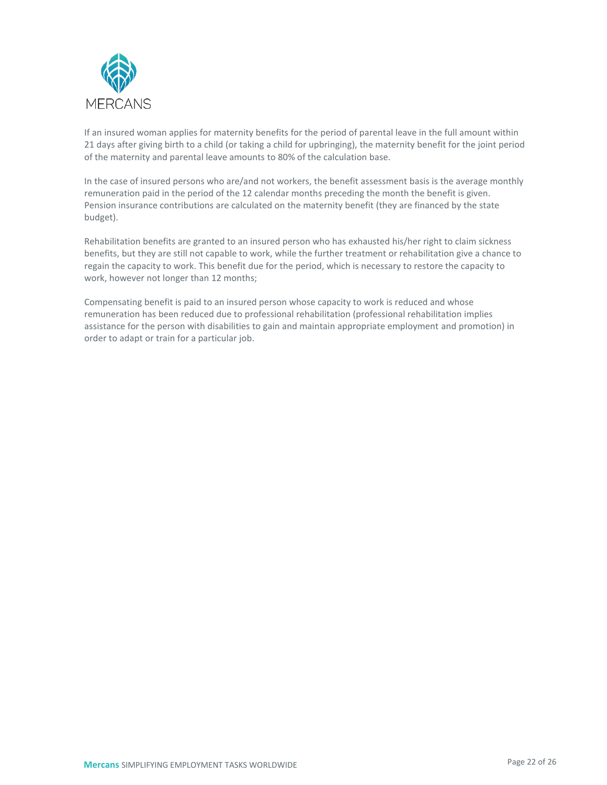

If an insured woman applies for maternity benefits for the period of parental leave in the full amount within 21 days after giving birth to a child (or taking a child for upbringing), the maternity benefit for the joint period of the maternity and parental leave amounts to 80% of the calculation base.

In the case of insured persons who are/and not workers, the benefit assessment basis is the average monthly remuneration paid in the period of the 12 calendar months preceding the month the benefit is given. Pension insurance contributions are calculated on the maternity benefit (they are financed by the state budget).

Rehabilitation benefits are granted to an insured person who has exhausted his/her right to claim sickness benefits, but they are still not capable to work, while the further treatment or rehabilitation give a chance to regain the capacity to work. This benefit due for the period, which is necessary to restore the capacity to work, however not longer than 12 months;

Compensating benefit is paid to an insured person whose capacity to work is reduced and whose remuneration has been reduced due to professional rehabilitation (professional rehabilitation implies assistance for the person with disabilities to gain and maintain appropriate employment and promotion) in order to adapt or train for a particular job.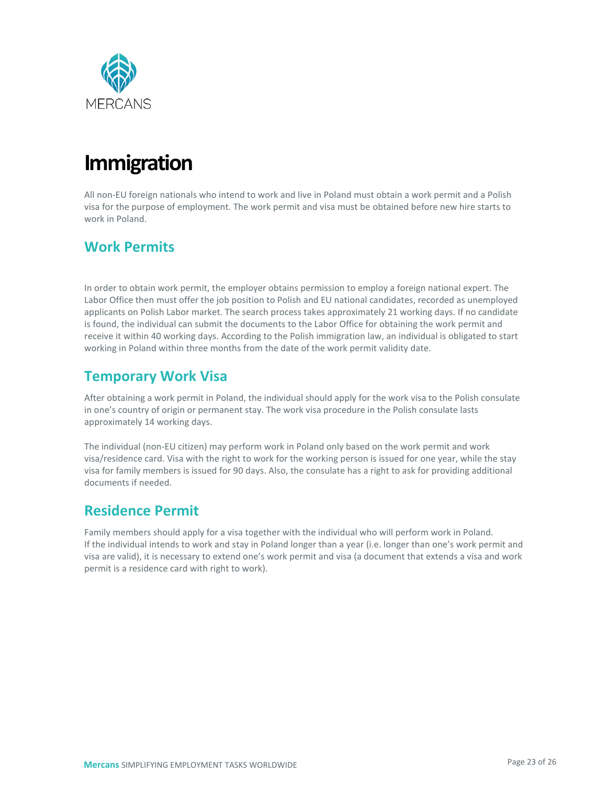

## <span id="page-22-0"></span>**Immigration**

All non-EU foreign nationals who intend to work and live in Poland must obtain a work permit and a Polish visa for the purpose of employment. The work permit and visa must be obtained before new hire starts to work in Poland.

## <span id="page-22-1"></span>**Work Permits**

In order to obtain work permit, the employer obtains permission to employ a foreign national expert. The Labor Office then must offer the job position to Polish and EU national candidates, recorded as unemployed applicants on Polish Labor market. The search process takes approximately 21 working days. If no candidate is found, the individual can submit the documents to the Labor Office for obtaining the work permit and receive it within 40 working days. According to the Polish immigration law, an individual is obligated to start working in Poland within three months from the date of the work permit validity date.

### <span id="page-22-2"></span>**Temporary Work Visa**

After obtaining a work permit in Poland, the individual should apply for the work visa to the Polish consulate in one's country of origin or permanent stay. The work visa procedure in the Polish consulate lasts approximately 14 working days.

The individual (non-EU citizen) may perform work in Poland only based on the work permit and work visa/residence card. Visa with the right to work for the working person is issued for one year, while the stay visa for family members is issued for 90 days. Also, the consulate has a right to ask for providing additional documents if needed.

### <span id="page-22-3"></span>**Residence Permit**

Family members should apply for a visa together with the individual who will perform work in Poland. If the individual intends to work and stay in Poland longer than a year (i.e. longer than one's work permit and visa are valid), it is necessary to extend one's work permit and visa (a document that extends a visa and work permit is a residence card with right to work).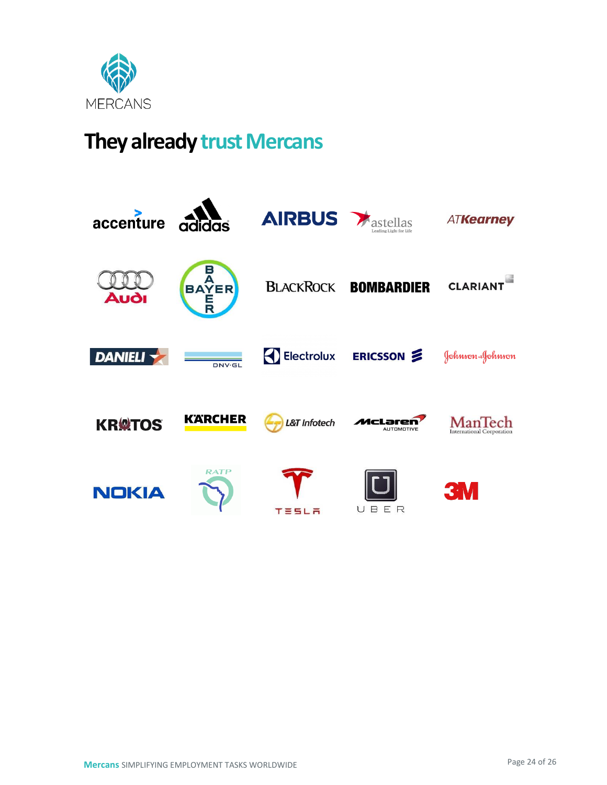

## **They already trust Mercans**

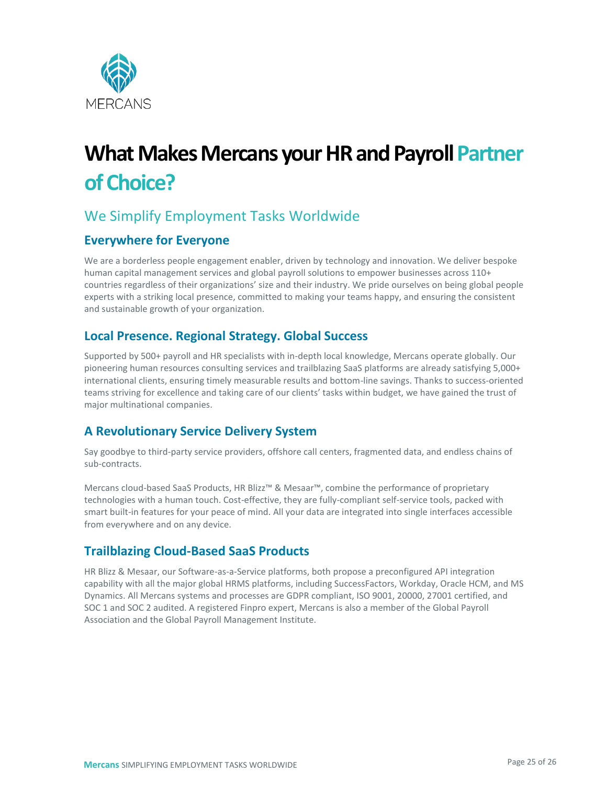

# **What Makes Mercans your HR and Payroll Partner of Choice?**

## We Simplify Employment Tasks Worldwide

#### **Everywhere for Everyone**

We are a borderless people engagement enabler, driven by technology and innovation. We deliver bespoke human capital management services and global payroll solutions to empower businesses across 110+ countries regardless of their organizations' size and their industry. We pride ourselves on being global people experts with a striking local presence, committed to making your teams happy, and ensuring the consistent and sustainable growth of your organization.

#### **Local Presence. Regional Strategy. Global Success**

Supported by 500+ payroll and HR specialists with in-depth local knowledge, Mercans operate globally. Our pioneering human resources consulting services and trailblazing SaaS platforms are already satisfying 5,000+ international clients, ensuring timely measurable results and bottom-line savings. Thanks to success-oriented teams striving for excellence and taking care of our clients' tasks within budget, we have gained the trust of major multinational companies.

#### **A Revolutionary Service Delivery System**

Say goodbye to third-party service providers, offshore call centers, fragmented data, and endless chains of sub-contracts.

Mercans cloud-based SaaS Products, HR Blizz™ & Mesaar™, combine the performance of proprietary technologies with a human touch. Cost-effective, they are fully-compliant self-service tools, packed with smart built-in features for your peace of mind. All your data are integrated into single interfaces accessible from everywhere and on any device.

#### **Trailblazing Cloud-Based SaaS Products**

HR Blizz & Mesaar, our Software-as-a-Service platforms, both propose a preconfigured API integration capability with all the major global HRMS platforms, including SuccessFactors, Workday, Oracle HCM, and MS Dynamics. All Mercans systems and processes are GDPR compliant, ISO 9001, 20000, 27001 certified, and SOC 1 and SOC 2 audited. A registered Finpro expert, Mercans is also a member of the Global Payroll Association and the Global Payroll Management Institute.